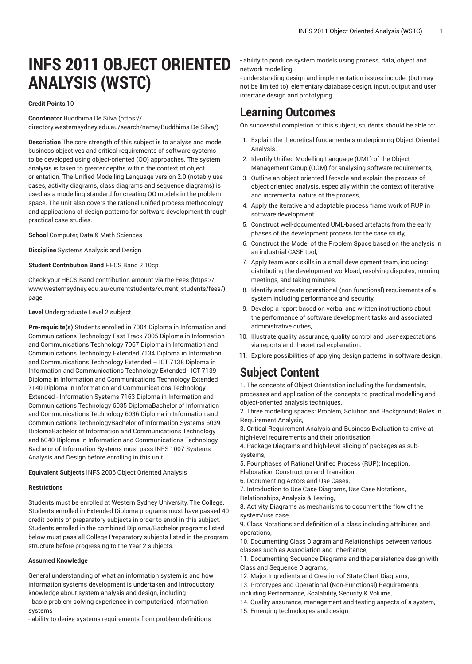# **INFS 2011 OBJECT ORIENTED ANALYSIS (WSTC)**

### **Credit Points** 10

**Coordinator** [Buddhima](https://directory.westernsydney.edu.au/search/name/Buddhima De Silva/) De Silva ([https://](https://directory.westernsydney.edu.au/search/name/Buddhima De Silva/) [directory.westernsydney.edu.au/search/name/Buddhima](https://directory.westernsydney.edu.au/search/name/Buddhima De Silva/) De Silva/)

**Description** The core strength of this subject is to analyse and model business objectives and critical requirements of software systems to be developed using object-oriented (OO) approaches. The system analysis is taken to greater depths within the context of object orientation. The Unified Modelling Language version 2.0 (notably use cases, activity diagrams, class diagrams and sequence diagrams) is used as a modelling standard for creating OO models in the problem space. The unit also covers the rational unified process methodology and applications of design patterns for software development through practical case studies.

**School** Computer, Data & Math Sciences

**Discipline** Systems Analysis and Design

**Student Contribution Band** HECS Band 2 10cp

Check your HECS Band contribution amount via the [Fees \(https://](https://www.westernsydney.edu.au/currentstudents/current_students/fees/) [www.westernsydney.edu.au/currentstudents/current\\_students/fees/\)](https://www.westernsydney.edu.au/currentstudents/current_students/fees/) page.

#### **Level** Undergraduate Level 2 subject

**Pre-requisite(s)** Students enrolled in 7004 Diploma in Information and Communications Technology Fast Track 7005 Diploma in Information and Communications Technology 7067 Diploma in Information and Communications Technology Extended 7134 Diploma in Information and Communications Technology Extended – ICT 7138 Diploma in Information and Communications Technology Extended - ICT 7139 Diploma in Information and Communications Technology Extended 7140 Diploma in Information and Communications Technology Extended - Information Systems 7163 Diploma in Information and Communications Technology 6035 DiplomaBachelor of Information and Communications Technology 6036 Diploma in Information and Communications TechnologyBachelor of Information Systems 6039 DiplomaBachelor of Information and Communications Technology and 6040 Diploma in Information and Communications Technology Bachelor of Information Systems must pass [INFS 1007](/search/?P=INFS%201007) Systems Analysis and Design before enrolling in this unit

**Equivalent Subjects** [INFS 2006](/search/?P=INFS%202006) Object Oriented Analysis

#### **Restrictions**

Students must be enrolled at Western Sydney University, The College. Students enrolled in Extended Diploma programs must have passed 40 credit points of preparatory subjects in order to enrol in this subject. Students enrolled in the combined Diploma/Bachelor programs listed below must pass all College Preparatory subjects listed in the program structure before progressing to the Year 2 subjects.

#### **Assumed Knowledge**

General understanding of what an information system is and how information systems development is undertaken and Introductory knowledge about system analysis and design, including

- basic problem solving experience in computerised information systems

- ability to derive systems requirements from problem definitions

- ability to produce system models using process, data, object and network modelling.

- understanding design and implementation issues include, (but may not be limited to), elementary database design, input, output and user interface design and prototyping.

## **Learning Outcomes**

On successful completion of this subject, students should be able to:

- 1. Explain the theoretical fundamentals underpinning Object Oriented Analysis.
- 2. Identify Unified Modelling Language (UML) of the Object Management Group (OGM) for analysing software requirements,
- 3. Outline an object oriented lifecycle and explain the process of object oriented analysis, especially within the context of iterative and incremental nature of the process,
- 4. Apply the iterative and adaptable process frame work of RUP in software development
- 5. Construct well-documented UML-based artefacts from the early phases of the development process for the case study,
- 6. Construct the Model of the Problem Space based on the analysis in an industrial CASE tool,
- 7. Apply team work skills in a small development team, including: distributing the development workload, resolving disputes, running meetings, and taking minutes,
- 8. Identify and create operational (non functional) requirements of a system including performance and security,
- 9. Develop a report based on verbal and written instructions about the performance of software development tasks and associated administrative duties,
- 10. Illustrate quality assurance, quality control and user-expectations via reports and theoretical explanation.
- 11. Explore possibilities of applying design patterns in software design.

### **Subject Content**

1. The concepts of Object Orientation including the fundamentals, processes and application of the concepts to practical modelling and object-oriented analysis techniques,

2. Three modelling spaces: Problem, Solution and Background; Roles in Requirement Analysis,

3. Critical Requirement Analysis and Business Evaluation to arrive at high-level requirements and their prioritisation,

4. Package Diagrams and high-level slicing of packages as subsystems,

5. Four phases of Rational Unified Process (RUP): Inception,

Elaboration, Construction and Transition

6. Documenting Actors and Use Cases,

7. Introduction to Use Case Diagrams, Use Case Notations,

Relationships, Analysis & Testing,

8. Activity Diagrams as mechanisms to document the flow of the system/use case,

9. Class Notations and definition of a class including attributes and operations,

10. Documenting Class Diagram and Relationships between various classes such as Association and Inheritance,

11. Documenting Sequence Diagrams and the persistence design with Class and Sequence Diagrams,

12. Major Ingredients and Creation of State Chart Diagrams,

13. Prototypes and Operational (Non-Functional) Requirements

including Performance, Scalability, Security & Volume,

14. Quality assurance, management and testing aspects of a system,

15. Emerging technologies and design.